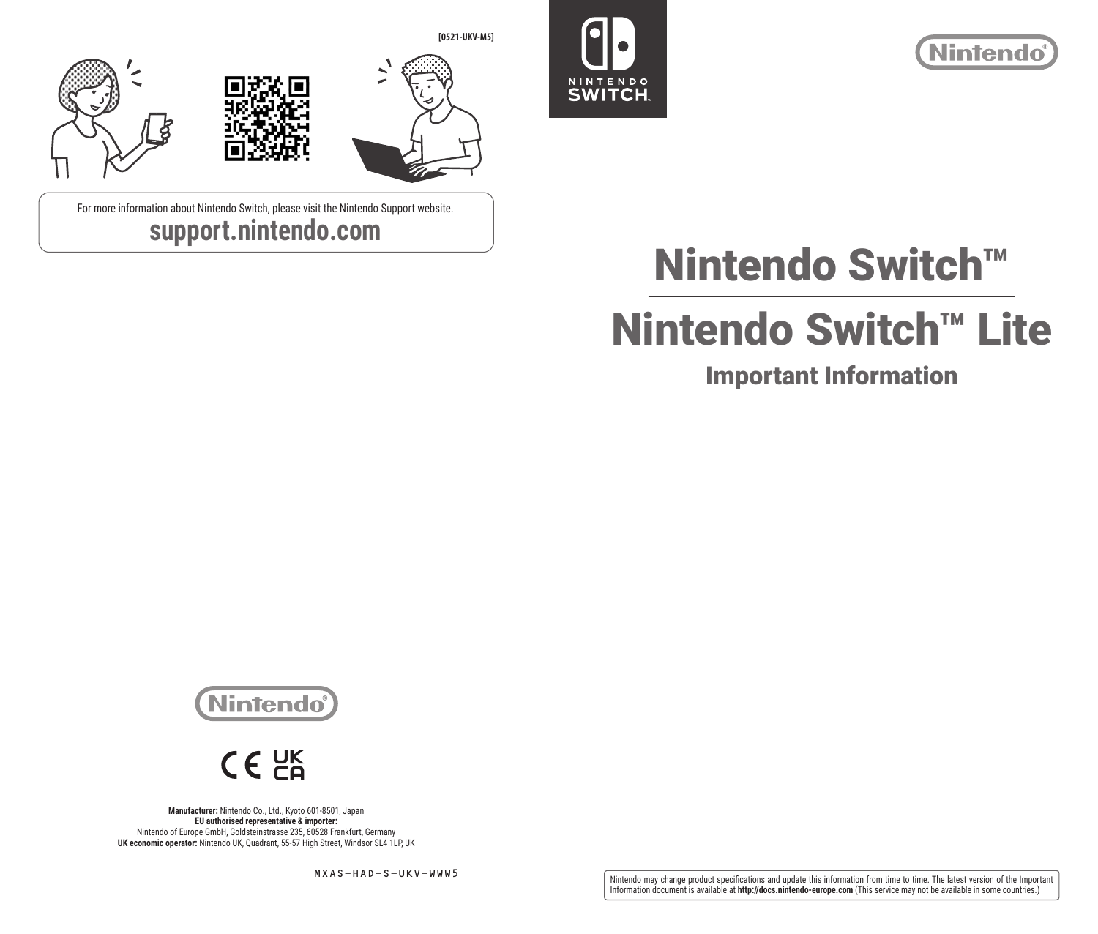

For more information about Nintendo Switch, please visit the Nintendo Support website. **support.nintendo.com**





# Nintendo Switch™

# Nintendo Switch™ Lite

# Important Information





**Manufacturer:** Nintendo Co., Ltd., Kyoto 601-8501, Japan **EU authorised representative & importer:**  Nintendo of Europe GmbH, Goldsteinstrasse 235, 60528 Frankfurt, Germany **UK economic operator:** Nintendo UK, Quadrant, 55-57 High Street, Windsor SL4 1LP, UK

MXAS-HAD-S-UKV-WWW5

Nintendo may change product specifications and update this information from time to time. The latest version of the Important<br>Information document is available at **http://docs.nintendo-europe.com** (This service may not be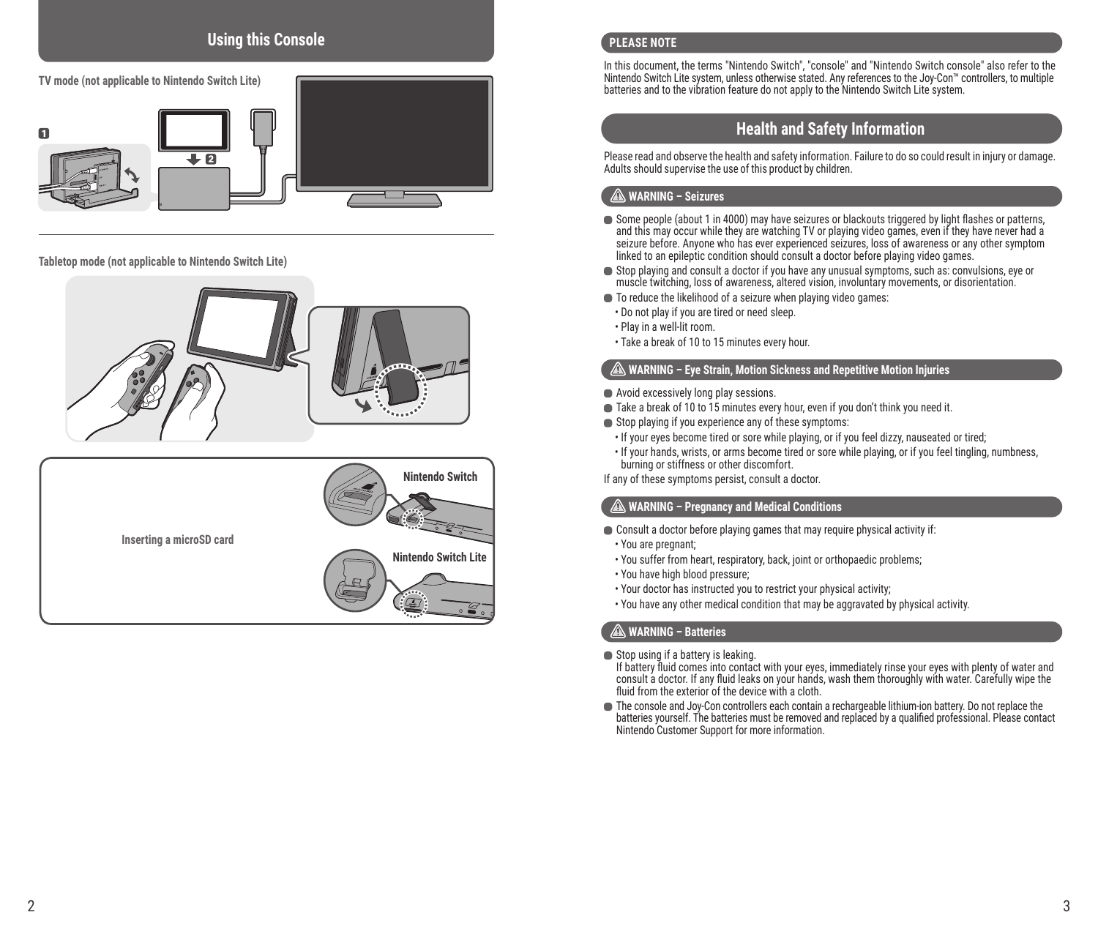## **Using this Console**



#### **Tabletop mode (not applicable to Nintendo Switch Lite)**





#### **PLEASE NOTE**

In this document, the terms "Nintendo Switch", "console" and "Nintendo Switch console" also refer to the Nintendo Switch Lite system, unless otherwise stated. Any references to the Joy-Con™ controllers, to multiple batteries and to the vibration feature do not apply to the Nintendo Switch Lite system.

### **Health and Safety Information**

Please read and observe the health and safety information. Failure to do so could result in injury or damage. Adults should supervise the use of this product by children.

#### **WARNING – Seizures**

- Some people (about 1 in 4000) may have seizures or blackouts triggered by light flashes or patterns, and this may occur while they are watching TV or playing video games, even if they have never had a seizure before. Anyone who has ever experienced seizures, loss of awareness or any other symptom linked to an epileptic condition should consult a doctor before playing video games.
- Stop playing and consult a doctor if you have any unusual symptoms, such as: convulsions, eye or muscle twitching, loss of awareness, altered vision, involuntary movements, or disorientation.
- $\blacksquare$  To reduce the likelihood of a seizure when playing video games:
- Do not play if you are tired or need sleep.
- Play in a well-lit room.
- Take a break of 10 to 15 minutes every hour.

#### **WARNING – Eye Strain, Motion Sickness and Repetitive Motion Injuries**

- Avoid excessively long play sessions.
- Take a break of 10 to 15 minutes every hour, even if you don't think you need it.
- Stop playing if you experience any of these symptoms:
- If your eyes become tired or sore while playing, or if you feel dizzy, nauseated or tired;
- If your hands, wrists, or arms become tired or sore while playing, or if you feel tingling, numbness, burning or stiffness or other discomfort.

If any of these symptoms persist, consult a doctor.

#### **WARNING – Pregnancy and Medical Conditions**

- Consult a doctor before playing games that may require physical activity if:
- You are pregnant;
- You suffer from heart, respiratory, back, joint or orthopaedic problems;
- You have high blood pressure;
- Your doctor has instructed you to restrict your physical activity;
- You have any other medical condition that may be aggravated by physical activity.

#### **WARNING – Batteries**

Stop using if a battery is leaking.

If battery fluid comes into contact with your eyes, immediately rinse your eyes with plenty of water and consult a doctor. If any fluid leaks on your hands, wash them thoroughly with water. Carefully wipe the fluid from the exterior of the device with a cloth.

The console and Joy-Con controllers each contain a rechargeable lithium-ion battery. Do not replace the batteries yourself. The batteries must be removed and replaced by a qualified professional. Please contact Nintendo Customer Support for more information.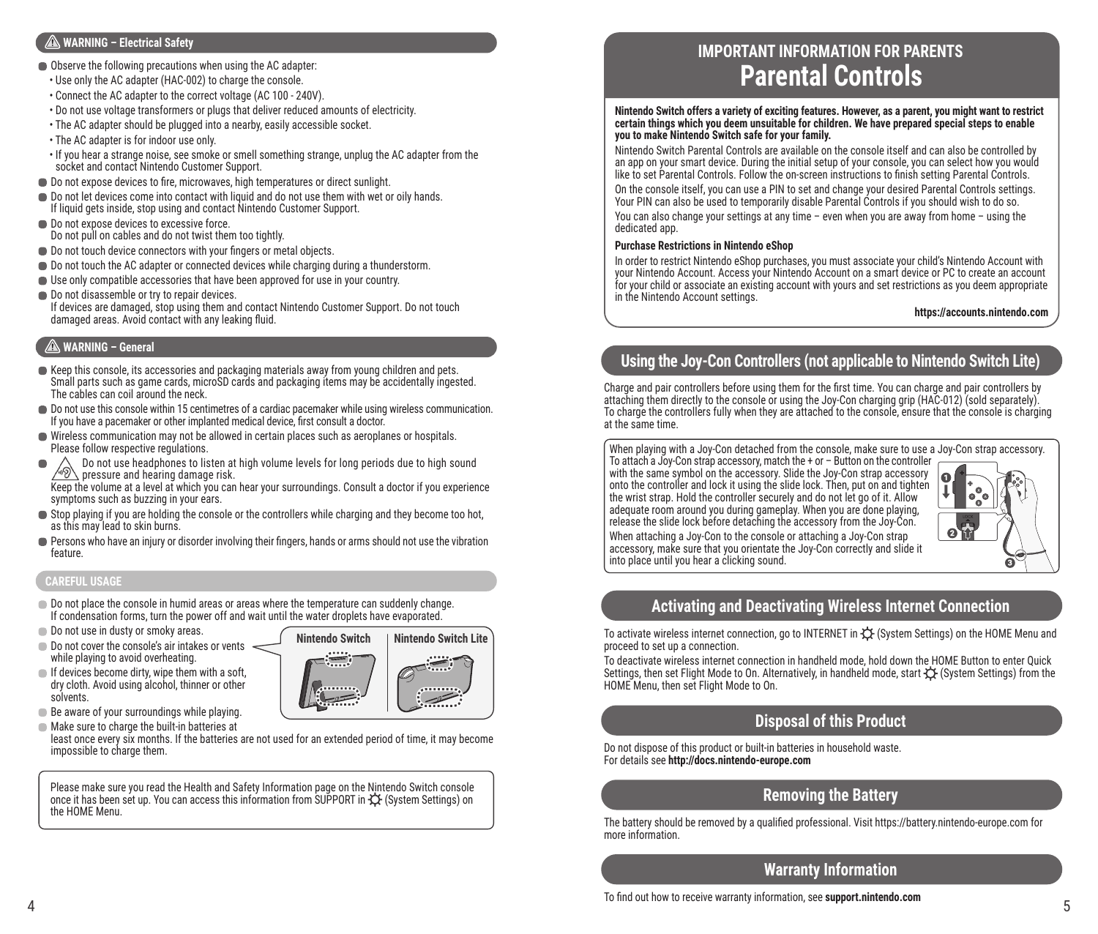#### **WARNING – Electrical Safety**

- Observe the following precautions when using the AC adapter:
- Use only the AC adapter (HAC-002) to charge the console.
- Connect the AC adapter to the correct voltage (AC 100 240V).
- Do not use voltage transformers or plugs that deliver reduced amounts of electricity.
- The AC adapter should be plugged into a nearby, easily accessible socket.
- The AC adapter is for indoor use only.
- If you hear a strange noise, see smoke or smell something strange, unplug the AC adapter from the socket and contact Nintendo Customer Support.
- $\bullet$  Do not expose devices to fire, microwaves, high temperatures or direct sunlight.
- Do not let devices come into contact with liquid and do not use them with wet or oily hands. If liquid gets inside, stop using and contact Nintendo Customer Support.
- Do not expose devices to excessive force. Do not pull on cables and do not twist them too tightly.
- Do not touch device connectors with your fingers or metal objects.
- 
- $\bullet$  Do not touch the AC adapter or connected devices while charging during a thunderstorm. Use only compatible accessories that have been approved for use in your country.
- Do not disassemble or try to repair devices. If devices are damaged, stop using them and contact Nintendo Customer Support. Do not touch damaged areas. Avoid contact with any leaking fluid.

#### **WARNING – General**

- Keep this console, its accessories and packaging materials away from young children and pets. Small parts such as game cards, microSD cards and packaging items may be accidentally ingested. The cables can coil around the neck.
- Do not use this console within 15 centimetres of a cardiac pacemaker while using wireless communication. If you have a pacemaker or other implanted medical device, first consult a doctor.
- Wireless communication may not be allowed in certain places such as aeroplanes or hospitals. Please follow respective regulations.
- Do not use headphones to listen at high volume levels for long periods due to high sound  $\sqrt{\phi}$  Do not use headphones to listen at  $\sim$ Keep the volume at a level at which you can hear your surroundings. Consult a doctor if you experience

symptoms such as buzzing in your ears.

- Stop playing if you are holding the console or the controllers while charging and they become too hot, as this may lead to skin burns.
- Persons who have an injury or disorder involving their fingers, hands or arms should not use the vibration feature.

#### **CAREFUL USAGE**

- Do not place the console in humid areas or areas where the temperature can suddenly change. If condensation forms, turn the power off and wait until the water droplets have evaporated.
- Do not use in dusty or smoky areas.
- $\Box$  Do not cover the console's air intakes or vents  $\sim$ while playing to avoid overheating.
- $\blacksquare$  If devices become dirty, wipe them with a soft, dry cloth. Avoid using alcohol, thinner or other solvents.
- Be aware of your surroundings while playing.

Make sure to charge the built-in batteries at least once every six months. If the batteries are not used for an extended period of time, it may become impossible to charge them.

Please make sure you read the Health and Safety Information page on the Nintendo Switch console once it has been set up. You can access this information from SUPPORT in  $\mathfrak O$  (System Settings) on the HOME Menu.

# **IMPORTANT INFORMATION FOR PARENTS Parental Controls**

**Nintendo Switch offers a variety of exciting features. However, as a parent, you might want to restrict certain things which you deem unsuitable for children. We have prepared special steps to enable you to make Nintendo Switch safe for your family.**

Nintendo Switch Parental Controls are available on the console itself and can also be controlled by an app on your smart device. During the initial setup of your console, you can select how you would like to set Parental Controls. Follow the on-screen instructions to finish setting Parental Controls.

On the console itself, you can use a PIN to set and change your desired Parental Controls settings. Your PIN can also be used to temporarily disable Parental Controls if you should wish to do so.

You can also change your settings at any time – even when you are away from home – using the dedicated app.

#### **Purchase Restrictions in Nintendo eShop**

In order to restrict Nintendo eShop purchases, you must associate your child's Nintendo Account with your Nintendo Account. Access your Nintendo Account on a smart device or PC to create an account for your child or associate an existing account with yours and set restrictions as you deem appropriate in the Nintendo Account settings.

#### **https://accounts.nintendo.com**

# **Using the Joy-Con Controllers (not applicable to Nintendo Switch Lite)**

Charge and pair controllers before using them for the first time. You can charge and pair controllers by attaching them directly to the console or using the Joy-Con charging grip (HAC-012) (sold separately). To charge the controllers fully when they are attached to the console, ensure that the console is charging at the same time.

When playing with a Joy-Con detached from the console, make sure to use a Joy-Con strap accessory.

To attach a Joy-Con strap accessory, match the + or – Button on the controller with the same symbol on the accessory. Slide the Joy-Con strap accessory onto the controller and lock it using the slide lock. Then, put on and tighten the wrist strap. Hold the controller securely and do not let go of it. Allow adequate room around you during gameplay. When you are done playing, release the slide lock before detaching the accessory from the Joy-Con.



When attaching a Joy-Con to the console or attaching a Joy-Con strap accessory, make sure that you orientate the Joy-Con correctly and slide it into place until you hear a clicking sound.

# **Activating and Deactivating Wireless Internet Connection**

To activate wireless internet connection, go to INTERNET in  $\circlearrowleft$  (System Settings) on the HOME Menu and proceed to set up a connection.

To deactivate wireless internet connection in handheld mode, hold down the HOME Button to enter Quick Settings, then set Flight Mode to On. Alternatively, in handheld mode, start (System Settings) from the HOME Menu, then set Flight Mode to On.

# **Disposal of this Product**

Do not dispose of this product or built-in batteries in household waste. For details see **http://docs.nintendo-europe.com**

# **Removing the Battery**

The battery should be removed by a qualified professional. Visit https://battery.nintendo-europe.com for more information.

# **Warranty Information**

**Nintendo Switch | Nintendo Switch Lite**